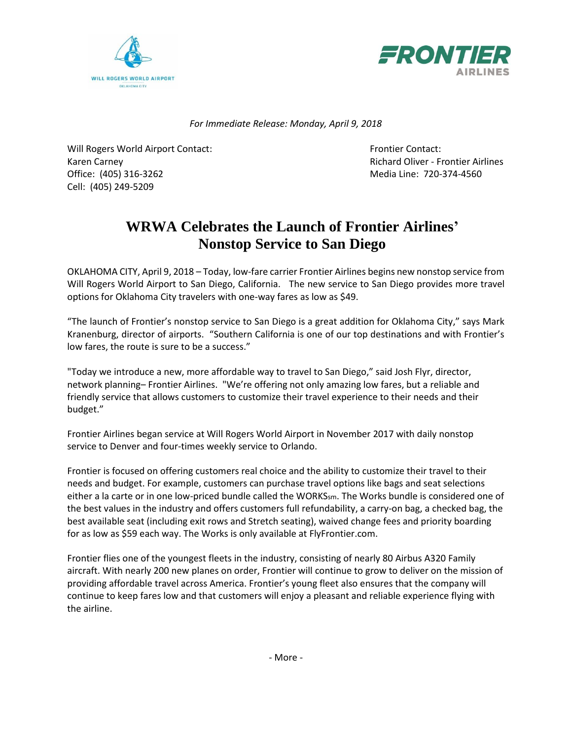



*For Immediate Release: Monday, April 9, 2018*

Will Rogers World Airport Contact: The Contact Research Contact: Frontier Contact: Karen Carney **Richard Oliver - Frontier Airlines** Richard Oliver - Frontier Airlines Office: (405) 316-3262 Media Line: 720-374-4560 Cell: (405) 249-5209

## **WRWA Celebrates the Launch of Frontier Airlines' Nonstop Service to San Diego**

OKLAHOMA CITY, April 9, 2018 – Today, low-fare carrier Frontier Airlines begins new nonstop service from Will Rogers World Airport to San Diego, California. The new service to San Diego provides more travel options for Oklahoma City travelers with one-way fares as low as \$49.

"The launch of Frontier's nonstop service to San Diego is a great addition for Oklahoma City," says Mark Kranenburg, director of airports. "Southern California is one of our top destinations and with Frontier's low fares, the route is sure to be a success."

"Today we introduce a new, more affordable way to travel to San Diego," said Josh Flyr, director, network planning– Frontier Airlines. "We're offering not only amazing low fares, but a reliable and friendly service that allows customers to customize their travel experience to their needs and their budget."

Frontier Airlines began service at Will Rogers World Airport in November 2017 with daily nonstop service to Denver and four-times weekly service to Orlando.

Frontier is focused on offering customers real choice and the ability to customize their travel to their needs and budget. For example, customers can purchase travel options like bags and seat selections either a la carte or in one low-priced bundle called the WORKSsm. The Works bundle is considered one of the best values in the industry and offers customers full refundability, a carry-on bag, a checked bag, the best available seat (including exit rows and Stretch seating), waived change fees and priority boarding for as low as \$59 each way. The Works is only available at FlyFrontier.com.

Frontier flies one of the youngest fleets in the industry, consisting of nearly 80 Airbus A320 Family aircraft. With nearly 200 new planes on order, Frontier will continue to grow to deliver on the mission of providing affordable travel across America. Frontier's young fleet also ensures that the company will continue to keep fares low and that customers will enjoy a pleasant and reliable experience flying with the airline.